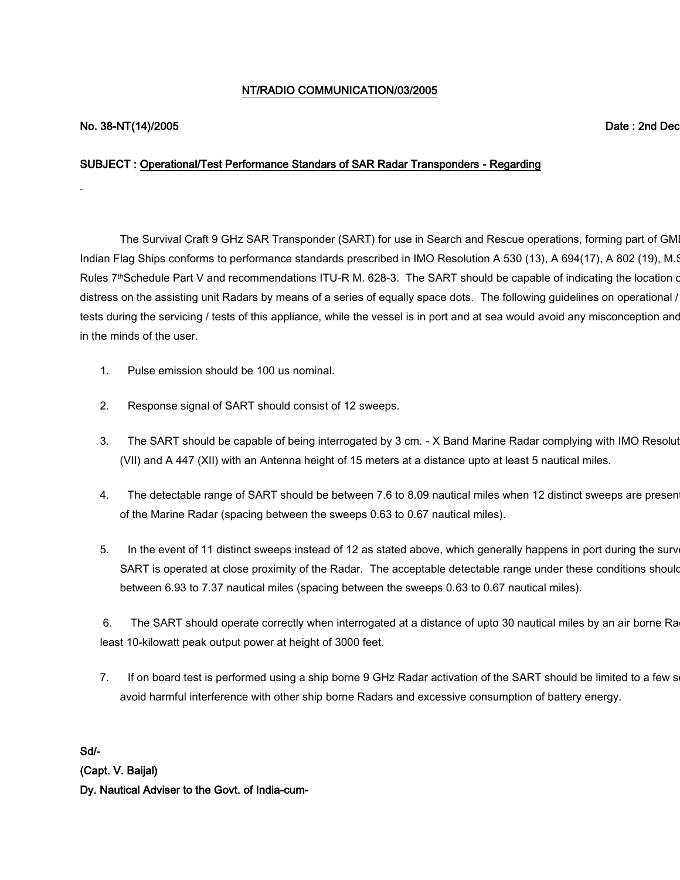# NT/RADIO COMMUNICATION/03/2005

# No. 38-NT(14)/2005 Date : 2nd December, 2005

### SUBJECT : Operational/Test Performance Standars of SAR Radar Transponders - Regarding

The Survival Craft 9 GHz SAR Transponder (SART) for use in Search and Rescue operations, forming part of GM Indian Flag Ships conforms to performance standards prescribed in IMO Resolution A 530 (13), A 694(17), A 802 (19), M.S. Rules 7thSchedule Part V and recommendations ITU-R M. 628-3. The SART should be capable of indicating the location of distress on the assisting unit Radars by means of a series of equally space dots. The following guidelines on operational / tests during the servicing / tests of this appliance, while the vessel is in port and at sea would avoid any misconception and in the minds of the user.

- 1. Pulse emission should be 100 us nominal.
- 2. Response signal of SART should consist of 12 sweeps.
- 3. The SART should be capable of being interrogated by 3 cm. X Band Marine Radar complying with IMO Resolut (VII) and A 447 (XII) with an Antenna height of 15 meters at a distance upto at least 5 nautical miles.
- 4. The detectable range of SART should be between 7.6 to 8.09 nautical miles when 12 distinct sweeps are presen of the Marine Radar (spacing between the sweeps 0.63 to 0.67 nautical miles).
- 5. In the event of 11 distinct sweeps instead of 12 as stated above, which generally happens in port during the surv SART is operated at close proximity of the Radar. The acceptable detectable range under these conditions should between 6.93 to 7.37 nautical miles (spacing between the sweeps 0.63 to 0.67 nautical miles).

6. The SART should operate correctly when interrogated at a distance of upto 30 nautical miles by an air borne Ra least 10-kilowatt peak output power at height of 3000 feet.

7. If on board test is performed using a ship borne 9 GHz Radar activation of the SART should be limited to a few s avoid harmful interference with other ship borne Radars and excessive consumption of battery energy.

Sd/- (Capt. V. Baijal) Dy. Nautical Adviser to the Govt. of India-cum-